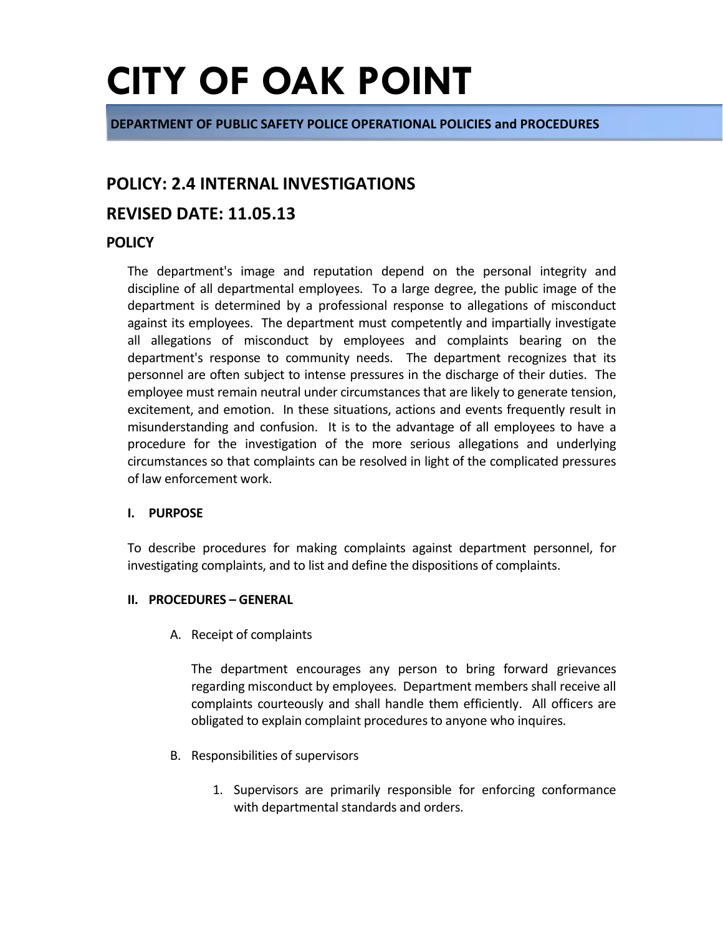**DEPARTMENT OF PUBLIC SAFETY POLICE OPERATIONAL POLICIES and PROCEDURES**

### **POLICY: 2.4 INTERNAL INVESTIGATIONS**

### **REVISED DATE: 11.05.13**

### **POLICY**

The department's image and reputation depend on the personal integrity and discipline of all departmental employees. To a large degree, the public image of the department is determined by a professional response to allegations of misconduct against its employees. The department must competently and impartially investigate all allegations of misconduct by employees and complaints bearing on the department's response to community needs. The department recognizes that its personnel are often subject to intense pressures in the discharge of their duties. The employee must remain neutral under circumstances that are likely to generate tension, excitement, and emotion. In these situations, actions and events frequently result in misunderstanding and confusion. It is to the advantage of all employees to have a procedure for the investigation of the more serious allegations and underlying circumstances so that complaints can be resolved in light of the complicated pressures of law enforcement work.

#### **I. PURPOSE**

To describe procedures for making complaints against department personnel, for investigating complaints, and to list and define the dispositions of complaints.

#### **II. PROCEDURES – GENERAL**

A. Receipt of complaints

The department encourages any person to bring forward grievances regarding misconduct by employees. Department members shall receive all complaints courteously and shall handle them efficiently. All officers are obligated to explain complaint procedures to anyone who inquires.

- B. Responsibilities of supervisors
	- 1. Supervisors are primarily responsible for enforcing conformance with departmental standards and orders.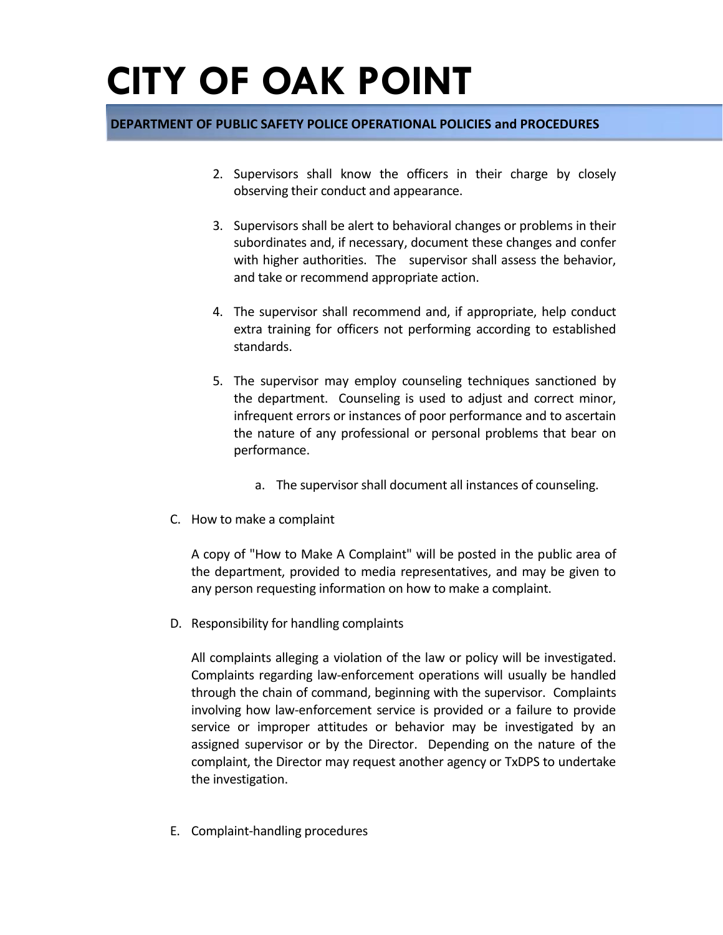### **DEPARTMENT OF PUBLIC SAFETY POLICE OPERATIONAL POLICIES and PROCEDURES**

- 2. Supervisors shall know the officers in their charge by closely observing their conduct and appearance.
- 3. Supervisors shall be alert to behavioral changes or problems in their subordinates and, if necessary, document these changes and confer with higher authorities. The supervisor shall assess the behavior, and take or recommend appropriate action.
- 4. The supervisor shall recommend and, if appropriate, help conduct extra training for officers not performing according to established standards.
- 5. The supervisor may employ counseling techniques sanctioned by the department. Counseling is used to adjust and correct minor, infrequent errors or instances of poor performance and to ascertain the nature of any professional or personal problems that bear on performance.
	- a. The supervisor shall document all instances of counseling.
- C. How to make a complaint

A copy of "How to Make A Complaint" will be posted in the public area of the department, provided to media representatives, and may be given to any person requesting information on how to make a complaint.

D. Responsibility for handling complaints

All complaints alleging a violation of the law or policy will be investigated. Complaints regarding law-enforcement operations will usually be handled through the chain of command, beginning with the supervisor. Complaints involving how law-enforcement service is provided or a failure to provide service or improper attitudes or behavior may be investigated by an assigned supervisor or by the Director. Depending on the nature of the complaint, the Director may request another agency or TxDPS to undertake the investigation.

E. Complaint-handling procedures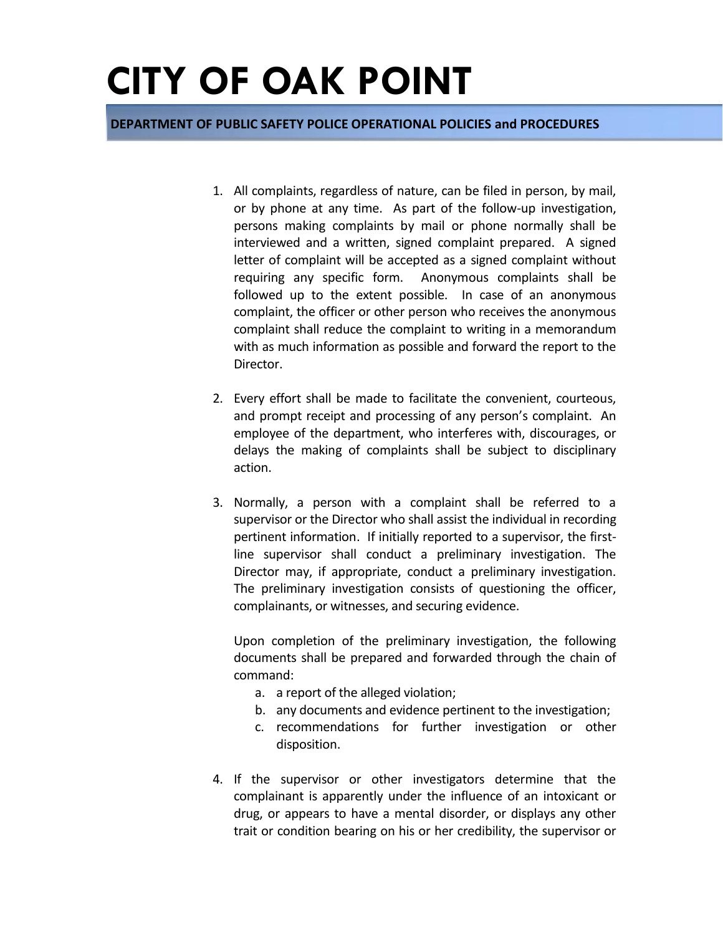**DEPARTMENT OF PUBLIC SAFETY POLICE OPERATIONAL POLICIES and PROCEDURES**

- 1. All complaints, regardless of nature, can be filed in person, by mail, or by phone at any time. As part of the follow-up investigation, persons making complaints by mail or phone normally shall be interviewed and a written, signed complaint prepared. A signed letter of complaint will be accepted as a signed complaint without requiring any specific form. Anonymous complaints shall be followed up to the extent possible. In case of an anonymous complaint, the officer or other person who receives the anonymous complaint shall reduce the complaint to writing in a memorandum with as much information as possible and forward the report to the Director.
- 2. Every effort shall be made to facilitate the convenient, courteous, and prompt receipt and processing of any person's complaint. An employee of the department, who interferes with, discourages, or delays the making of complaints shall be subject to disciplinary action.
- 3. Normally, a person with a complaint shall be referred to a supervisor or the Director who shall assist the individual in recording pertinent information. If initially reported to a supervisor, the firstline supervisor shall conduct a preliminary investigation. The Director may, if appropriate, conduct a preliminary investigation. The preliminary investigation consists of questioning the officer, complainants, or witnesses, and securing evidence.

Upon completion of the preliminary investigation, the following documents shall be prepared and forwarded through the chain of command:

- a. a report of the alleged violation;
- b. any documents and evidence pertinent to the investigation;
- c. recommendations for further investigation or other disposition.
- 4. If the supervisor or other investigators determine that the complainant is apparently under the influence of an intoxicant or drug, or appears to have a mental disorder, or displays any other trait or condition bearing on his or her credibility, the supervisor or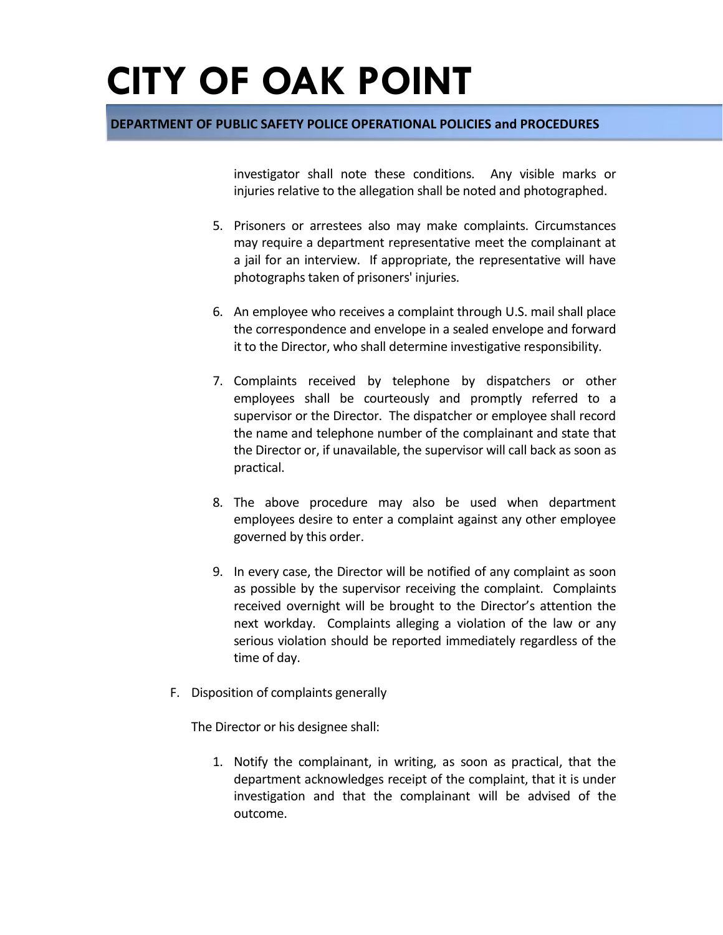#### **DEPARTMENT OF PUBLIC SAFETY POLICE OPERATIONAL POLICIES and PROCEDURES**

investigator shall note these conditions. Any visible marks or injuries relative to the allegation shall be noted and photographed.

- 5. Prisoners or arrestees also may make complaints. Circumstances may require a department representative meet the complainant at a jail for an interview. If appropriate, the representative will have photographs taken of prisoners' injuries.
- 6. An employee who receives a complaint through U.S. mail shall place the correspondence and envelope in a sealed envelope and forward it to the Director, who shall determine investigative responsibility.
- 7. Complaints received by telephone by dispatchers or other employees shall be courteously and promptly referred to a supervisor or the Director. The dispatcher or employee shall record the name and telephone number of the complainant and state that the Director or, if unavailable, the supervisor will call back as soon as practical.
- 8. The above procedure may also be used when department employees desire to enter a complaint against any other employee governed by this order.
- 9. In every case, the Director will be notified of any complaint as soon as possible by the supervisor receiving the complaint. Complaints received overnight will be brought to the Director's attention the next workday. Complaints alleging a violation of the law or any serious violation should be reported immediately regardless of the time of day.
- F. Disposition of complaints generally

The Director or his designee shall:

1. Notify the complainant, in writing, as soon as practical, that the department acknowledges receipt of the complaint, that it is under investigation and that the complainant will be advised of the outcome.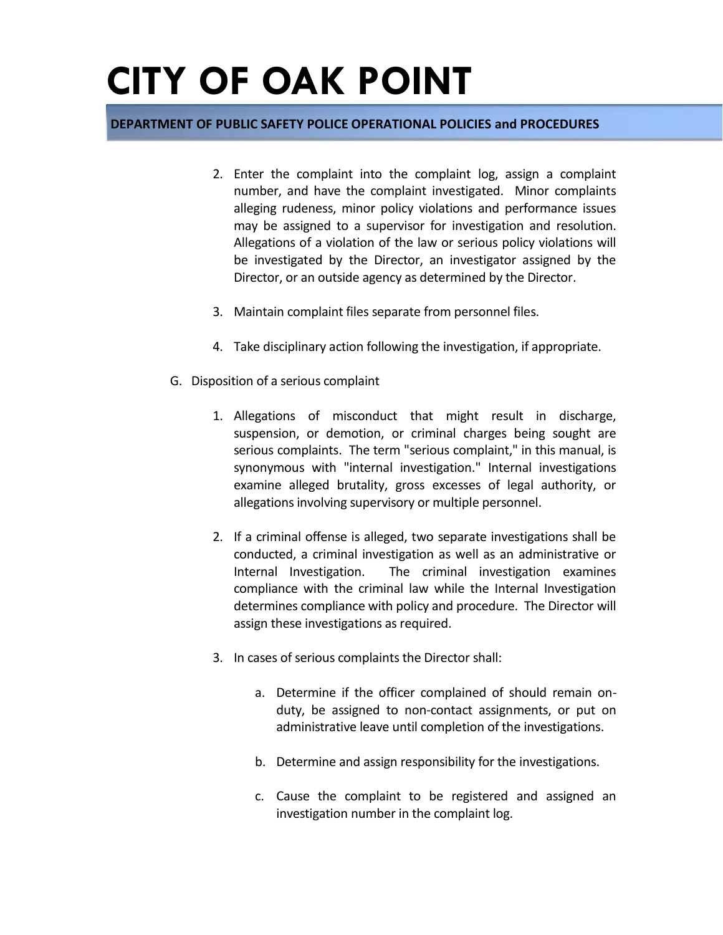#### **DEPARTMENT OF PUBLIC SAFETY POLICE OPERATIONAL POLICIES and PROCEDURES**

- 2. Enter the complaint into the complaint log, assign a complaint number, and have the complaint investigated. Minor complaints alleging rudeness, minor policy violations and performance issues may be assigned to a supervisor for investigation and resolution. Allegations of a violation of the law or serious policy violations will be investigated by the Director, an investigator assigned by the Director, or an outside agency as determined by the Director.
- 3. Maintain complaint files separate from personnel files.
- 4. Take disciplinary action following the investigation, if appropriate.
- G. Disposition of a serious complaint
	- 1. Allegations of misconduct that might result in discharge, suspension, or demotion, or criminal charges being sought are serious complaints. The term "serious complaint," in this manual, is synonymous with "internal investigation." Internal investigations examine alleged brutality, gross excesses of legal authority, or allegations involving supervisory or multiple personnel.
	- 2. If a criminal offense is alleged, two separate investigations shall be conducted, a criminal investigation as well as an administrative or Internal Investigation. The criminal investigation examines compliance with the criminal law while the Internal Investigation determines compliance with policy and procedure. The Director will assign these investigations as required.
	- 3. In cases of serious complaints the Director shall:
		- a. Determine if the officer complained of should remain onduty, be assigned to non-contact assignments, or put on administrative leave until completion of the investigations.
		- b. Determine and assign responsibility for the investigations.
		- c. Cause the complaint to be registered and assigned an investigation number in the complaint log.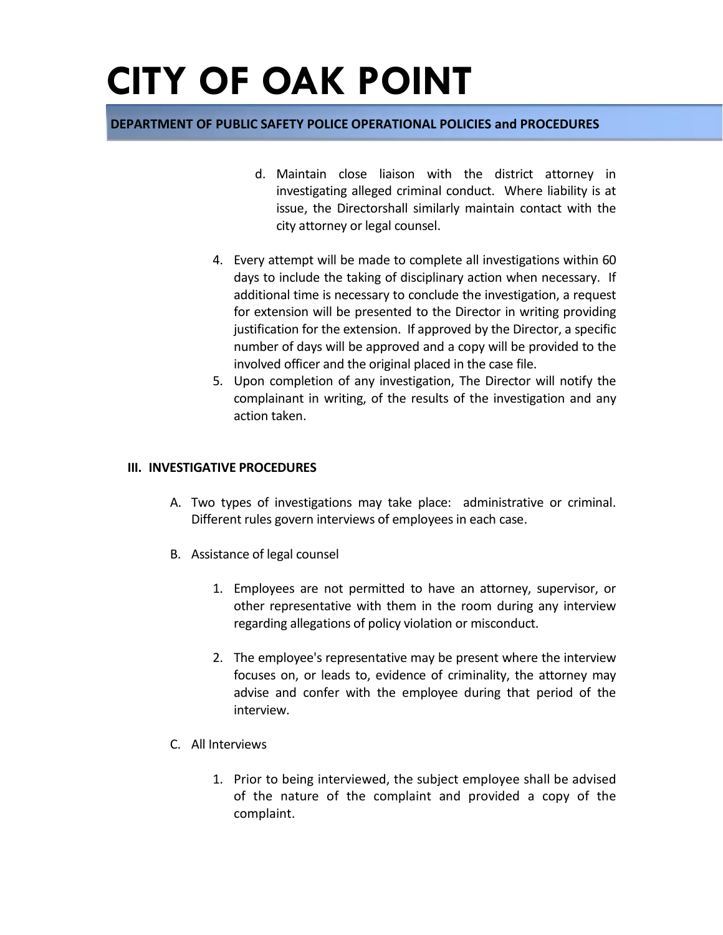#### **DEPARTMENT OF PUBLIC SAFETY POLICE OPERATIONAL POLICIES and PROCEDURES**

- d. Maintain close liaison with the district attorney in investigating alleged criminal conduct. Where liability is at issue, the Directorshall similarly maintain contact with the city attorney or legal counsel.
- 4. Every attempt will be made to complete all investigations within 60 days to include the taking of disciplinary action when necessary. If additional time is necessary to conclude the investigation, a request for extension will be presented to the Director in writing providing justification for the extension. If approved by the Director, a specific number of days will be approved and a copy will be provided to the involved officer and the original placed in the case file.
- 5. Upon completion of any investigation, The Director will notify the complainant in writing, of the results of the investigation and any action taken.

#### **III. INVESTIGATIVE PROCEDURES**

- A. Two types of investigations may take place: administrative or criminal. Different rules govern interviews of employees in each case.
- B. Assistance of legal counsel
	- 1. Employees are not permitted to have an attorney, supervisor, or other representative with them in the room during any interview regarding allegations of policy violation or misconduct.
	- 2. The employee's representative may be present where the interview focuses on, or leads to, evidence of criminality, the attorney may advise and confer with the employee during that period of the interview.
- C. All Interviews
	- 1. Prior to being interviewed, the subject employee shall be advised of the nature of the complaint and provided a copy of the complaint.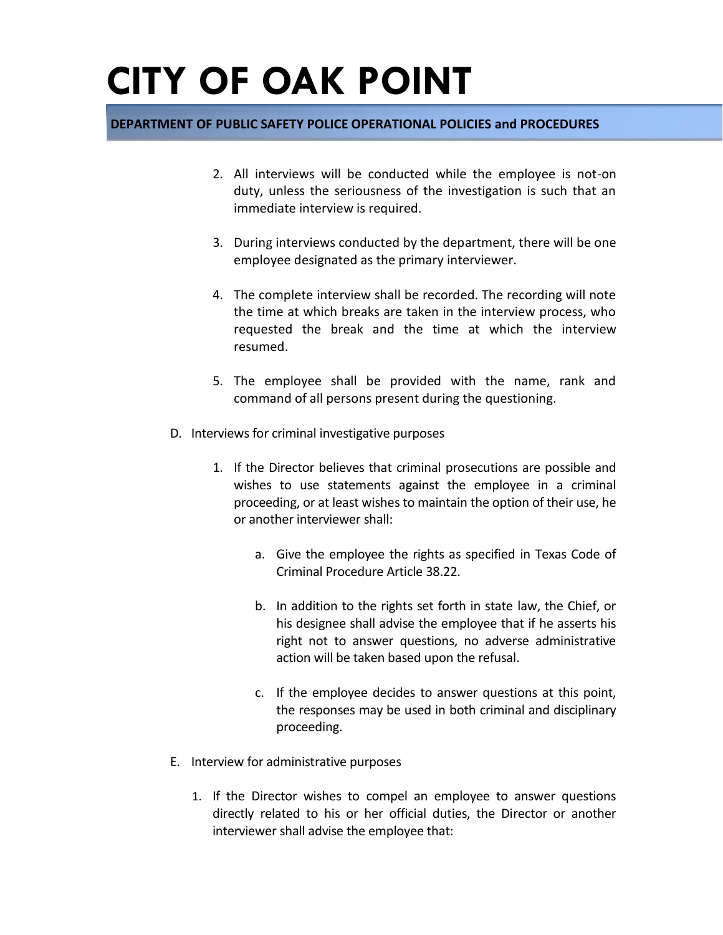### **DEPARTMENT OF PUBLIC SAFETY POLICE OPERATIONAL POLICIES and PROCEDURES**

- 2. All interviews will be conducted while the employee is not-on duty, unless the seriousness of the investigation is such that an immediate interview is required.
- 3. During interviews conducted by the department, there will be one employee designated as the primary interviewer.
- 4. The complete interview shall be recorded. The recording will note the time at which breaks are taken in the interview process, who requested the break and the time at which the interview resumed.
- 5. The employee shall be provided with the name, rank and command of all persons present during the questioning.
- D. Interviews for criminal investigative purposes
	- 1. If the Director believes that criminal prosecutions are possible and wishes to use statements against the employee in a criminal proceeding, or at least wishes to maintain the option of their use, he or another interviewer shall:
		- a. Give the employee the rights as specified in Texas Code of Criminal Procedure Article 38.22.
		- b. In addition to the rights set forth in state law, the Chief, or his designee shall advise the employee that if he asserts his right not to answer questions, no adverse administrative action will be taken based upon the refusal.
		- c. If the employee decides to answer questions at this point, the responses may be used in both criminal and disciplinary proceeding.
- E. Interview for administrative purposes
	- 1. If the Director wishes to compel an employee to answer questions directly related to his or her official duties, the Director or another interviewer shall advise the employee that: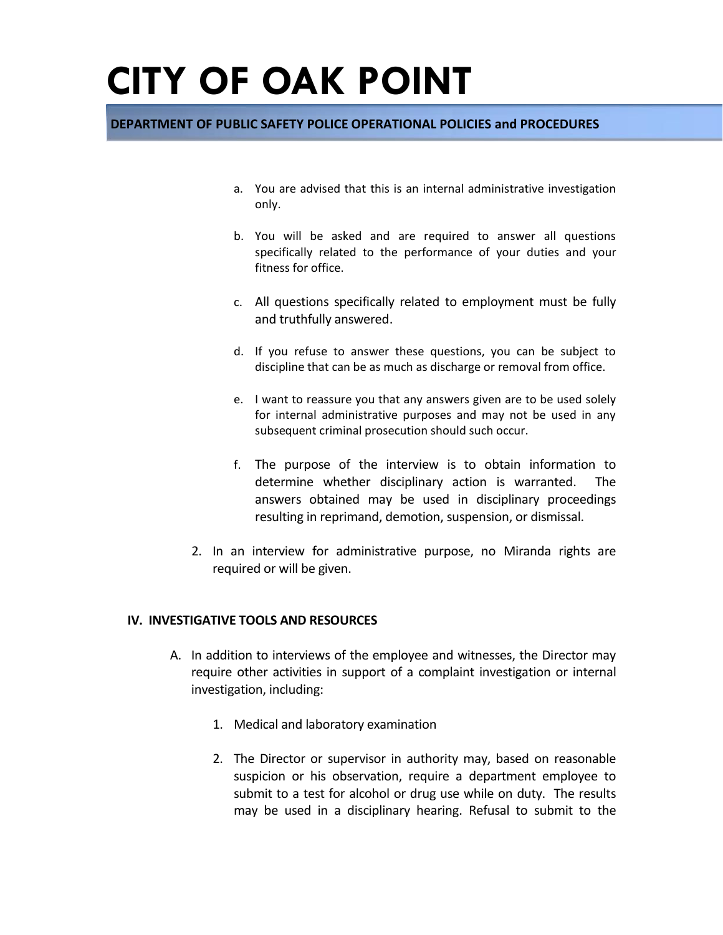### **DEPARTMENT OF PUBLIC SAFETY POLICE OPERATIONAL POLICIES and PROCEDURES**

- a. You are advised that this is an internal administrative investigation only.
- b. You will be asked and are required to answer all questions specifically related to the performance of your duties and your fitness for office.
- c. All questions specifically related to employment must be fully and truthfully answered.
- d. If you refuse to answer these questions, you can be subject to discipline that can be as much as discharge or removal from office.
- e. I want to reassure you that any answers given are to be used solely for internal administrative purposes and may not be used in any subsequent criminal prosecution should such occur.
- f. The purpose of the interview is to obtain information to determine whether disciplinary action is warranted. The answers obtained may be used in disciplinary proceedings resulting in reprimand, demotion, suspension, or dismissal.
- 2. In an interview for administrative purpose, no Miranda rights are required or will be given.

#### **IV. INVESTIGATIVE TOOLS AND RESOURCES**

- A. In addition to interviews of the employee and witnesses, the Director may require other activities in support of a complaint investigation or internal investigation, including:
	- 1. Medical and laboratory examination
	- 2. The Director or supervisor in authority may, based on reasonable suspicion or his observation, require a department employee to submit to a test for alcohol or drug use while on duty. The results may be used in a disciplinary hearing. Refusal to submit to the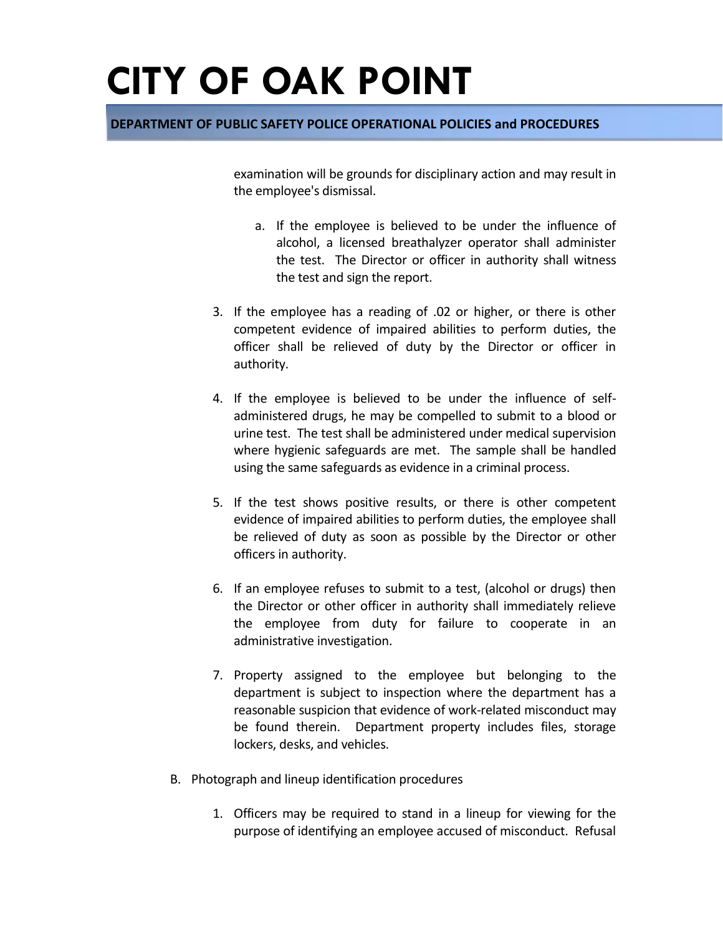### **DEPARTMENT OF PUBLIC SAFETY POLICE OPERATIONAL POLICIES and PROCEDURES**

examination will be grounds for disciplinary action and may result in the employee's dismissal.

- a. If the employee is believed to be under the influence of alcohol, a licensed breathalyzer operator shall administer the test. The Director or officer in authority shall witness the test and sign the report.
- 3. If the employee has a reading of .02 or higher, or there is other competent evidence of impaired abilities to perform duties, the officer shall be relieved of duty by the Director or officer in authority.
- 4. If the employee is believed to be under the influence of selfadministered drugs, he may be compelled to submit to a blood or urine test. The test shall be administered under medical supervision where hygienic safeguards are met. The sample shall be handled using the same safeguards as evidence in a criminal process.
- 5. If the test shows positive results, or there is other competent evidence of impaired abilities to perform duties, the employee shall be relieved of duty as soon as possible by the Director or other officers in authority.
- 6. If an employee refuses to submit to a test, (alcohol or drugs) then the Director or other officer in authority shall immediately relieve the employee from duty for failure to cooperate in an administrative investigation.
- 7. Property assigned to the employee but belonging to the department is subject to inspection where the department has a reasonable suspicion that evidence of work-related misconduct may be found therein. Department property includes files, storage lockers, desks, and vehicles.
- B. Photograph and lineup identification procedures
	- 1. Officers may be required to stand in a lineup for viewing for the purpose of identifying an employee accused of misconduct. Refusal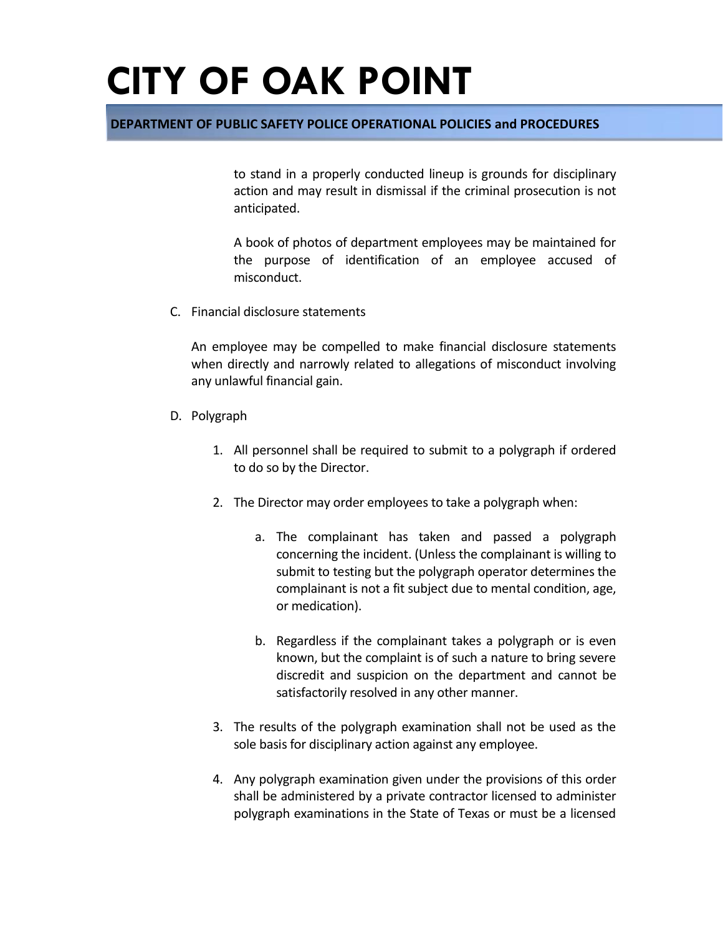### **DEPARTMENT OF PUBLIC SAFETY POLICE OPERATIONAL POLICIES and PROCEDURES**

to stand in a properly conducted lineup is grounds for disciplinary action and may result in dismissal if the criminal prosecution is not anticipated.

A book of photos of department employees may be maintained for the purpose of identification of an employee accused of misconduct.

C. Financial disclosure statements

An employee may be compelled to make financial disclosure statements when directly and narrowly related to allegations of misconduct involving any unlawful financial gain.

- D. Polygraph
	- 1. All personnel shall be required to submit to a polygraph if ordered to do so by the Director.
	- 2. The Director may order employees to take a polygraph when:
		- a. The complainant has taken and passed a polygraph concerning the incident. (Unless the complainant is willing to submit to testing but the polygraph operator determines the complainant is not a fit subject due to mental condition, age, or medication).
		- b. Regardless if the complainant takes a polygraph or is even known, but the complaint is of such a nature to bring severe discredit and suspicion on the department and cannot be satisfactorily resolved in any other manner.
	- 3. The results of the polygraph examination shall not be used as the sole basis for disciplinary action against any employee.
	- 4. Any polygraph examination given under the provisions of this order shall be administered by a private contractor licensed to administer polygraph examinations in the State of Texas or must be a licensed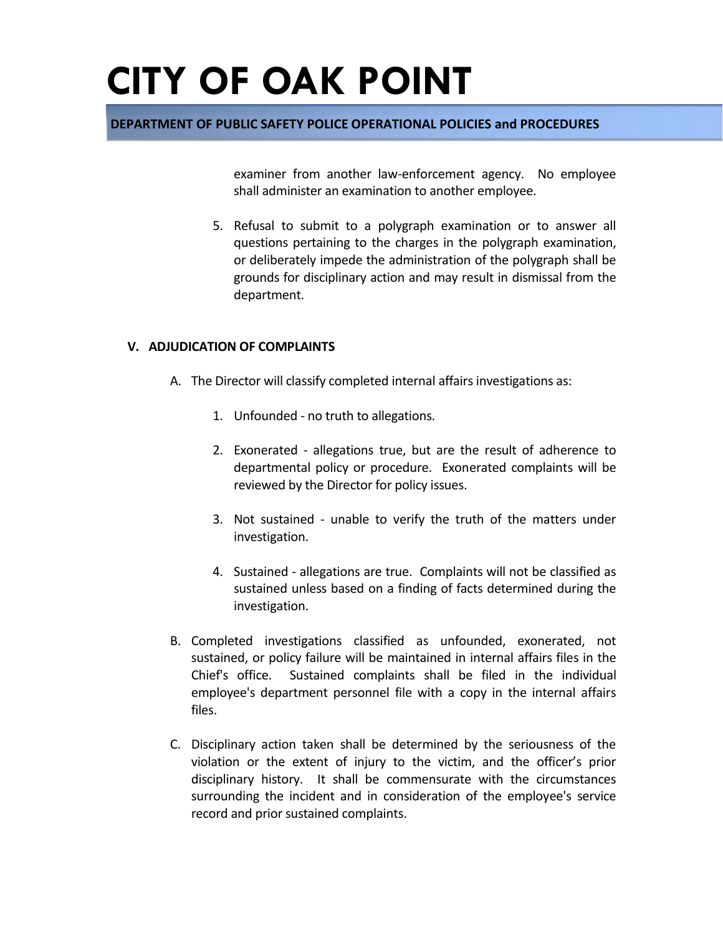### **DEPARTMENT OF PUBLIC SAFETY POLICE OPERATIONAL POLICIES and PROCEDURES**

examiner from another law-enforcement agency. No employee shall administer an examination to another employee.

5. Refusal to submit to a polygraph examination or to answer all questions pertaining to the charges in the polygraph examination, or deliberately impede the administration of the polygraph shall be grounds for disciplinary action and may result in dismissal from the department.

#### **V. ADJUDICATION OF COMPLAINTS**

- A. The Director will classify completed internal affairs investigations as:
	- 1. Unfounded no truth to allegations.
	- 2. Exonerated allegations true, but are the result of adherence to departmental policy or procedure. Exonerated complaints will be reviewed by the Director for policy issues.
	- 3. Not sustained unable to verify the truth of the matters under investigation.
	- 4. Sustained allegations are true. Complaints will not be classified as sustained unless based on a finding of facts determined during the investigation.
- B. Completed investigations classified as unfounded, exonerated, not sustained, or policy failure will be maintained in internal affairs files in the Chief's office. Sustained complaints shall be filed in the individual employee's department personnel file with a copy in the internal affairs files.
- C. Disciplinary action taken shall be determined by the seriousness of the violation or the extent of injury to the victim, and the officer's prior disciplinary history. It shall be commensurate with the circumstances surrounding the incident and in consideration of the employee's service record and prior sustained complaints.